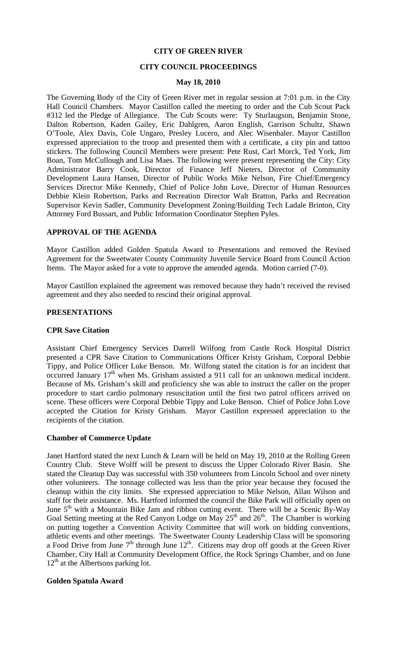### **CITY OF GREEN RIVER**

### **CITY COUNCIL PROCEEDINGS**

#### **May 18, 2010**

The Governing Body of the City of Green River met in regular session at 7:01 p.m. in the City Hall Council Chambers. Mayor Castillon called the meeting to order and the Cub Scout Pack #312 led the Pledge of Allegiance. The Cub Scouts were: Ty Sturlaugson, Benjamin Stone, Dalton Robertson, Kaden Gailey, Eric Dahlgren, Aaron English, Garrison Schultz, Shawn O'Toole, Alex Davis, Cole Ungaro, Presley Lucero, and Alec Wisenbaler. Mayor Castillon expressed appreciation to the troop and presented them with a certificate, a city pin and tattoo stickers. The following Council Members were present: Pete Rust, Carl Morck, Ted York, Jim Boan, Tom McCullough and Lisa Maes. The following were present representing the City: City Administrator Barry Cook, Director of Finance Jeff Nieters, Director of Community Development Laura Hansen, Director of Public Works Mike Nelson, Fire Chief/Emergency Services Director Mike Kennedy, Chief of Police John Love, Director of Human Resources Debbie Klein Robertson, Parks and Recreation Director Walt Bratton, Parks and Recreation Supervisor Kevin Sadler, Community Development Zoning/Building Tech Ladale Brinton, City Attorney Ford Bussart, and Public Information Coordinator Stephen Pyles.

### **APPROVAL OF THE AGENDA**

Mayor Castillon added Golden Spatula Award to Presentations and removed the Revised Agreement for the Sweetwater County Community Juvenile Service Board from Council Action Items. The Mayor asked for a vote to approve the amended agenda. Motion carried (7-0).

Mayor Castillon explained the agreement was removed because they hadn't received the revised agreement and they also needed to rescind their original approval.

#### **PRESENTATIONS**

#### **CPR Save Citation**

Assistant Chief Emergency Services Darrell Wilfong from Castle Rock Hospital District presented a CPR Save Citation to Communications Officer Kristy Grisham, Corporal Debbie Tippy, and Police Officer Luke Benson. Mr. Wilfong stated the citation is for an incident that occurred January 17<sup>th</sup> when Ms. Grisham assisted a 911 call for an unknown medical incident. Because of Ms. Grisham's skill and proficiency she was able to instruct the caller on the proper procedure to start cardio pulmonary resuscitation until the first two patrol officers arrived on scene. These officers were Corporal Debbie Tippy and Luke Benson. Chief of Police John Love accepted the Citation for Kristy Grisham. Mayor Castillon expressed appreciation to the recipients of the citation.

#### **Chamber of Commerce Update**

Janet Hartford stated the next Lunch & Learn will be held on May 19, 2010 at the Rolling Green Country Club. Steve Wolff will be present to discuss the Upper Colorado River Basin. She stated the Cleanup Day was successful with 350 volunteers from Lincoln School and over ninety other volunteers. The tonnage collected was less than the prior year because they focused the cleanup within the city limits. She expressed appreciation to Mike Nelson, Allan Wilson and staff for their assistance. Ms. Hartford informed the council the Bike Park will officially open on June  $5<sup>th</sup>$  with a Mountain Bike Jam and ribbon cutting event. There will be a Scenic By-Way Goal Setting meeting at the Red Canyon Lodge on May  $25<sup>th</sup>$  and  $26<sup>th</sup>$ . The Chamber is working on putting together a Convention Activity Committee that will work on bidding conventions, athletic events and other meetings. The Sweetwater County Leadership Class will be sponsoring a Food Drive from June  $7<sup>th</sup>$  through June  $12<sup>th</sup>$ . Citizens may drop off goods at the Green River Chamber, City Hall at Community Development Office, the Rock Springs Chamber, and on June  $12<sup>th</sup>$  at the Albertsons parking lot.

#### **Golden Spatula Award**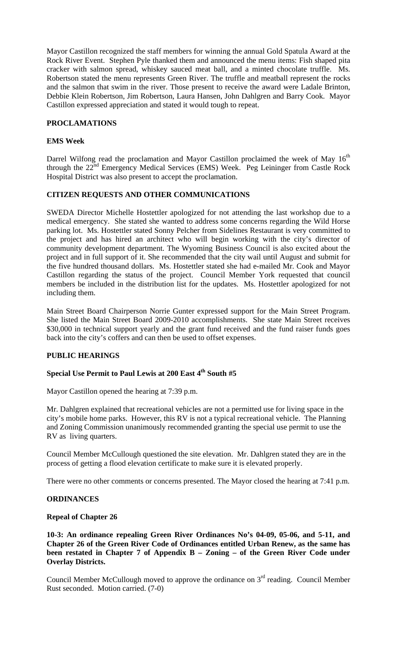Mayor Castillon recognized the staff members for winning the annual Gold Spatula Award at the Rock River Event. Stephen Pyle thanked them and announced the menu items: Fish shaped pita cracker with salmon spread, whiskey sauced meat ball, and a minted chocolate truffle. Ms. Robertson stated the menu represents Green River. The truffle and meatball represent the rocks and the salmon that swim in the river. Those present to receive the award were Ladale Brinton, Debbie Klein Robertson, Jim Robertson, Laura Hansen, John Dahlgren and Barry Cook. Mayor Castillon expressed appreciation and stated it would tough to repeat.

# **PROCLAMATIONS**

# **EMS Week**

Darrel Wilfong read the proclamation and Mayor Castillon proclaimed the week of May  $16<sup>th</sup>$ through the 22<sup>nd</sup> Emergency Medical Services (EMS) Week. Peg Leininger from Castle Rock Hospital District was also present to accept the proclamation.

### **CITIZEN REQUESTS AND OTHER COMMUNICATIONS**

SWEDA Director Michelle Hostettler apologized for not attending the last workshop due to a medical emergency. She stated she wanted to address some concerns regarding the Wild Horse parking lot. Ms. Hostettler stated Sonny Pelcher from Sidelines Restaurant is very committed to the project and has hired an architect who will begin working with the city's director of community development department. The Wyoming Business Council is also excited about the project and in full support of it. She recommended that the city wail until August and submit for the five hundred thousand dollars. Ms. Hostettler stated she had e-mailed Mr. Cook and Mayor Castillon regarding the status of the project. Council Member York requested that council members be included in the distribution list for the updates. Ms. Hostettler apologized for not including them.

Main Street Board Chairperson Norrie Gunter expressed support for the Main Street Program. She listed the Main Street Board 2009-2010 accomplishments. She state Main Street receives \$30,000 in technical support yearly and the grant fund received and the fund raiser funds goes back into the city's coffers and can then be used to offset expenses.

# **PUBLIC HEARINGS**

# Special Use Permit to Paul Lewis at 200 East 4<sup>th</sup> South #5

Mayor Castillon opened the hearing at 7:39 p.m.

Mr. Dahlgren explained that recreational vehicles are not a permitted use for living space in the city's mobile home parks. However, this RV is not a typical recreational vehicle. The Planning and Zoning Commission unanimously recommended granting the special use permit to use the RV as living quarters.

Council Member McCullough questioned the site elevation. Mr. Dahlgren stated they are in the process of getting a flood elevation certificate to make sure it is elevated properly.

There were no other comments or concerns presented. The Mayor closed the hearing at 7:41 p.m.

### **ORDINANCES**

### **Repeal of Chapter 26**

**10-3: An ordinance repealing Green River Ordinances No's 04-09, 05-06, and 5-11, and Chapter 26 of the Green River Code of Ordinances entitled Urban Renew, as the same has been restated in Chapter 7 of Appendix B – Zoning – of the Green River Code under Overlay Districts.** 

Council Member McCullough moved to approve the ordinance on  $3<sup>rd</sup>$  reading. Council Member Rust seconded. Motion carried. (7-0)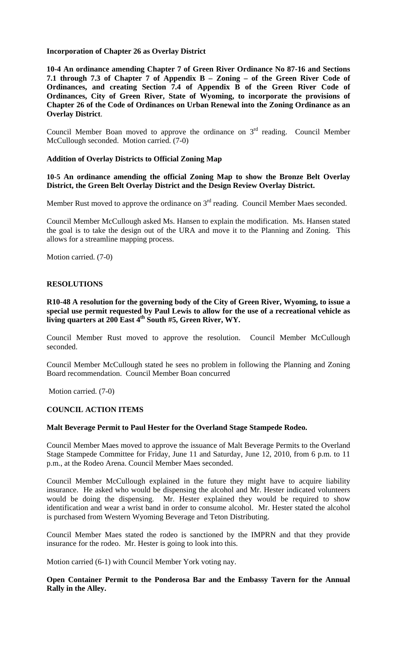### **Incorporation of Chapter 26 as Overlay District**

**10-4 An ordinance amending Chapter 7 of Green River Ordinance No 87-16 and Sections 7.1 through 7.3 of Chapter 7 of Appendix B – Zoning – of the Green River Code of Ordinances, and creating Section 7.4 of Appendix B of the Green River Code of Ordinances, City of Green River, State of Wyoming, to incorporate the provisions of Chapter 26 of the Code of Ordinances on Urban Renewal into the Zoning Ordinance as an Overlay District**.

Council Member Boan moved to approve the ordinance on  $3<sup>rd</sup>$  reading. Council Member McCullough seconded. Motion carried. (7-0)

### **Addition of Overlay Districts to Official Zoning Map**

**10-5 An ordinance amending the official Zoning Map to show the Bronze Belt Overlay District, the Green Belt Overlay District and the Design Review Overlay District.** 

Member Rust moved to approve the ordinance on  $3<sup>rd</sup>$  reading. Council Member Maes seconded.

Council Member McCullough asked Ms. Hansen to explain the modification. Ms. Hansen stated the goal is to take the design out of the URA and move it to the Planning and Zoning. This allows for a streamline mapping process.

Motion carried. (7-0)

### **RESOLUTIONS**

**R10-48 A resolution for the governing body of the City of Green River, Wyoming, to issue a special use permit requested by Paul Lewis to allow for the use of a recreational vehicle as living quarters at 200 East 4th South #5, Green River, WY.** 

Council Member Rust moved to approve the resolution. Council Member McCullough seconded.

Council Member McCullough stated he sees no problem in following the Planning and Zoning Board recommendation. Council Member Boan concurred

Motion carried. (7-0)

#### **COUNCIL ACTION ITEMS**

#### **Malt Beverage Permit to Paul Hester for the Overland Stage Stampede Rodeo.**

Council Member Maes moved to approve the issuance of Malt Beverage Permits to the Overland Stage Stampede Committee for Friday, June 11 and Saturday, June 12, 2010, from 6 p.m. to 11 p.m., at the Rodeo Arena. Council Member Maes seconded.

Council Member McCullough explained in the future they might have to acquire liability insurance. He asked who would be dispensing the alcohol and Mr. Hester indicated volunteers would be doing the dispensing. Mr. Hester explained they would be required to show identification and wear a wrist band in order to consume alcohol. Mr. Hester stated the alcohol is purchased from Western Wyoming Beverage and Teton Distributing.

Council Member Maes stated the rodeo is sanctioned by the IMPRN and that they provide insurance for the rodeo. Mr. Hester is going to look into this.

Motion carried (6-1) with Council Member York voting nay.

**Open Container Permit to the Ponderosa Bar and the Embassy Tavern for the Annual Rally in the Alley.**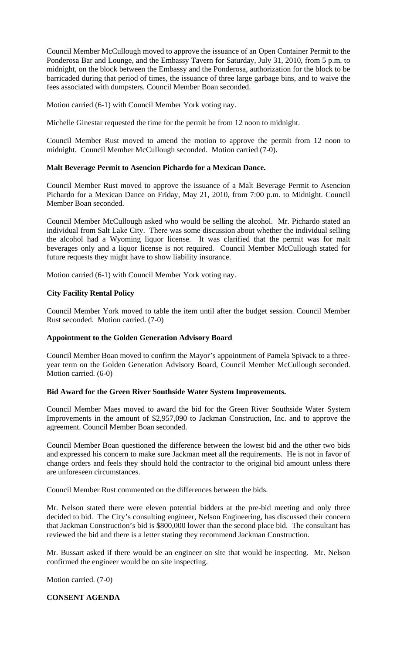Council Member McCullough moved to approve the issuance of an Open Container Permit to the Ponderosa Bar and Lounge, and the Embassy Tavern for Saturday, July 31, 2010, from 5 p.m. to midnight, on the block between the Embassy and the Ponderosa, authorization for the block to be barricaded during that period of times, the issuance of three large garbage bins, and to waive the fees associated with dumpsters. Council Member Boan seconded.

Motion carried (6-1) with Council Member York voting nay.

Michelle Ginestar requested the time for the permit be from 12 noon to midnight.

Council Member Rust moved to amend the motion to approve the permit from 12 noon to midnight. Council Member McCullough seconded. Motion carried (7-0).

#### **Malt Beverage Permit to Asencion Pichardo for a Mexican Dance.**

Council Member Rust moved to approve the issuance of a Malt Beverage Permit to Asencion Pichardo for a Mexican Dance on Friday, May 21, 2010, from 7:00 p.m. to Midnight. Council Member Boan seconded.

Council Member McCullough asked who would be selling the alcohol. Mr. Pichardo stated an individual from Salt Lake City. There was some discussion about whether the individual selling the alcohol had a Wyoming liquor license. It was clarified that the permit was for malt beverages only and a liquor license is not required. Council Member McCullough stated for future requests they might have to show liability insurance.

Motion carried (6-1) with Council Member York voting nay.

### **City Facility Rental Policy**

Council Member York moved to table the item until after the budget session. Council Member Rust seconded. Motion carried. (7-0)

#### **Appointment to the Golden Generation Advisory Board**

Council Member Boan moved to confirm the Mayor's appointment of Pamela Spivack to a threeyear term on the Golden Generation Advisory Board, Council Member McCullough seconded. Motion carried. (6-0)

#### **Bid Award for the Green River Southside Water System Improvements.**

Council Member Maes moved to award the bid for the Green River Southside Water System Improvements in the amount of \$2,957,090 to Jackman Construction, Inc. and to approve the agreement. Council Member Boan seconded.

Council Member Boan questioned the difference between the lowest bid and the other two bids and expressed his concern to make sure Jackman meet all the requirements. He is not in favor of change orders and feels they should hold the contractor to the original bid amount unless there are unforeseen circumstances.

Council Member Rust commented on the differences between the bids.

Mr. Nelson stated there were eleven potential bidders at the pre-bid meeting and only three decided to bid. The City's consulting engineer, Nelson Engineering, has discussed their concern that Jackman Construction's bid is \$800,000 lower than the second place bid. The consultant has reviewed the bid and there is a letter stating they recommend Jackman Construction.

Mr. Bussart asked if there would be an engineer on site that would be inspecting. Mr. Nelson confirmed the engineer would be on site inspecting.

Motion carried. (7-0)

# **CONSENT AGENDA**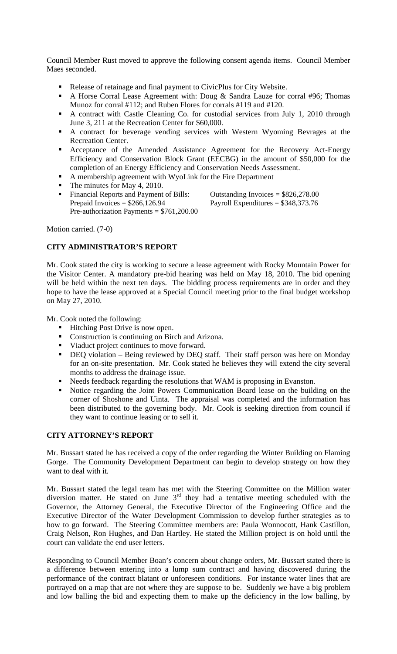Council Member Rust moved to approve the following consent agenda items. Council Member Maes seconded.

- Release of retainage and final payment to CivicPlus for City Website.
- A Horse Corral Lease Agreement with: Doug & Sandra Lauze for corral #96; Thomas Munoz for corral #112; and Ruben Flores for corrals #119 and #120.
- A contract with Castle Cleaning Co. for custodial services from July 1, 2010 through June 3, 211 at the Recreation Center for \$60,000.
- A contract for beverage vending services with Western Wyoming Bevrages at the Recreation Center.
- Acceptance of the Amended Assistance Agreement for the Recovery Act-Energy Efficiency and Conservation Block Grant (EECBG) in the amount of \$50,000 for the completion of an Energy Efficiency and Conservation Needs Assessment.
- A membership agreement with WyoLink for the Fire Department
- The minutes for May 4, 2010.
- Financial Reports and Payment of Bills: Outstanding Invoices = \$826,278.00 Prepaid Invoices =  $$266,126.94$  Payroll Expenditures =  $$348,373.76$ Pre-authorization Payments = \$761,200.00

Motion carried. (7-0)

# **CITY ADMINISTRATOR'S REPORT**

Mr. Cook stated the city is working to secure a lease agreement with Rocky Mountain Power for the Visitor Center. A mandatory pre-bid hearing was held on May 18, 2010. The bid opening will be held within the next ten days. The bidding process requirements are in order and they hope to have the lease approved at a Special Council meeting prior to the final budget workshop on May 27, 2010.

Mr. Cook noted the following:

- Hitching Post Drive is now open.
- Construction is continuing on Birch and Arizona.
- Viaduct project continues to move forward.
- DEQ violation Being reviewed by DEQ staff. Their staff person was here on Monday for an on-site presentation. Mr. Cook stated he believes they will extend the city several months to address the drainage issue.
- Needs feedback regarding the resolutions that WAM is proposing in Evanston.
- Notice regarding the Joint Powers Communication Board lease on the building on the corner of Shoshone and Uinta. The appraisal was completed and the information has been distributed to the governing body. Mr. Cook is seeking direction from council if they want to continue leasing or to sell it.

### **CITY ATTORNEY'S REPORT**

Mr. Bussart stated he has received a copy of the order regarding the Winter Building on Flaming Gorge. The Community Development Department can begin to develop strategy on how they want to deal with it.

Mr. Bussart stated the legal team has met with the Steering Committee on the Million water diversion matter. He stated on June  $3<sup>rd</sup>$  they had a tentative meeting scheduled with the Governor, the Attorney General, the Executive Director of the Engineering Office and the Executive Director of the Water Development Commission to develop further strategies as to how to go forward. The Steering Committee members are: Paula Wonnocott, Hank Castillon, Craig Nelson, Ron Hughes, and Dan Hartley. He stated the Million project is on hold until the court can validate the end user letters.

Responding to Council Member Boan's concern about change orders, Mr. Bussart stated there is a difference between entering into a lump sum contract and having discovered during the performance of the contract blatant or unforeseen conditions. For instance water lines that are portrayed on a map that are not where they are suppose to be. Suddenly we have a big problem and low balling the bid and expecting them to make up the deficiency in the low balling, by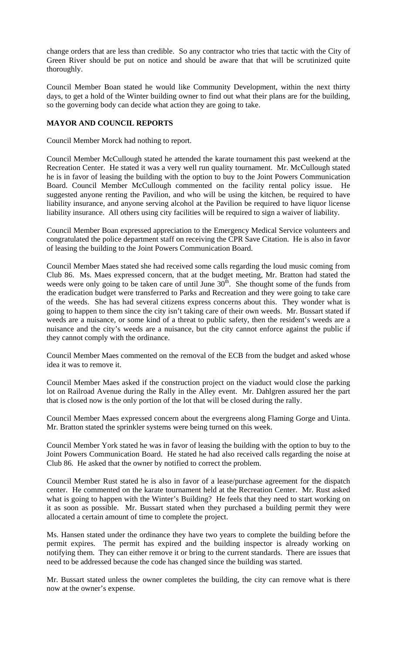change orders that are less than credible. So any contractor who tries that tactic with the City of Green River should be put on notice and should be aware that that will be scrutinized quite thoroughly.

Council Member Boan stated he would like Community Development, within the next thirty days, to get a hold of the Winter building owner to find out what their plans are for the building, so the governing body can decide what action they are going to take.

# **MAYOR AND COUNCIL REPORTS**

Council Member Morck had nothing to report.

Council Member McCullough stated he attended the karate tournament this past weekend at the Recreation Center. He stated it was a very well run quality tournament. Mr. McCullough stated he is in favor of leasing the building with the option to buy to the Joint Powers Communication Board. Council Member McCullough commented on the facility rental policy issue. He suggested anyone renting the Pavilion, and who will be using the kitchen, be required to have liability insurance, and anyone serving alcohol at the Pavilion be required to have liquor license liability insurance. All others using city facilities will be required to sign a waiver of liability.

Council Member Boan expressed appreciation to the Emergency Medical Service volunteers and congratulated the police department staff on receiving the CPR Save Citation. He is also in favor of leasing the building to the Joint Powers Communication Board.

Council Member Maes stated she had received some calls regarding the loud music coming from Club 86. Ms. Maes expressed concern, that at the budget meeting, Mr. Bratton had stated the weeds were only going to be taken care of until June  $30<sup>th</sup>$ . She thought some of the funds from the eradication budget were transferred to Parks and Recreation and they were going to take care of the weeds. She has had several citizens express concerns about this. They wonder what is going to happen to them since the city isn't taking care of their own weeds. Mr. Bussart stated if weeds are a nuisance, or some kind of a threat to public safety, then the resident's weeds are a nuisance and the city's weeds are a nuisance, but the city cannot enforce against the public if they cannot comply with the ordinance.

Council Member Maes commented on the removal of the ECB from the budget and asked whose idea it was to remove it.

Council Member Maes asked if the construction project on the viaduct would close the parking lot on Railroad Avenue during the Rally in the Alley event. Mr. Dahlgren assured her the part that is closed now is the only portion of the lot that will be closed during the rally.

Council Member Maes expressed concern about the evergreens along Flaming Gorge and Uinta. Mr. Bratton stated the sprinkler systems were being turned on this week.

Council Member York stated he was in favor of leasing the building with the option to buy to the Joint Powers Communication Board. He stated he had also received calls regarding the noise at Club 86. He asked that the owner by notified to correct the problem.

Council Member Rust stated he is also in favor of a lease/purchase agreement for the dispatch center. He commented on the karate tournament held at the Recreation Center. Mr. Rust asked what is going to happen with the Winter's Building? He feels that they need to start working on it as soon as possible. Mr. Bussart stated when they purchased a building permit they were allocated a certain amount of time to complete the project.

Ms. Hansen stated under the ordinance they have two years to complete the building before the permit expires. The permit has expired and the building inspector is already working on notifying them. They can either remove it or bring to the current standards. There are issues that need to be addressed because the code has changed since the building was started.

Mr. Bussart stated unless the owner completes the building, the city can remove what is there now at the owner's expense.